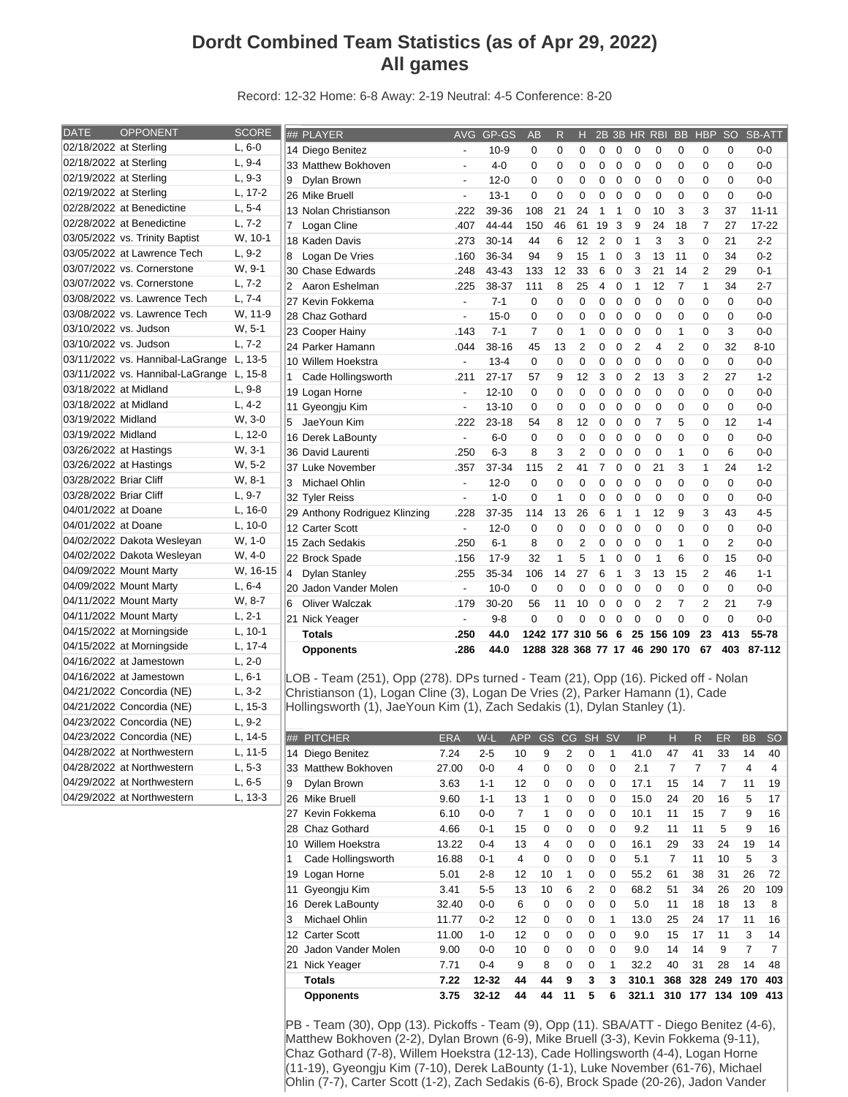## **Dordt Combined Team Statistics (as of Apr 29, 2022) All games**

Record: 12-32 Home: 6-8 Away: 2-19 Neutral: 4-5 Conference: 8-20

| <b>DATE</b><br><b>OPPONENT</b><br><b>SCORE</b><br>## PLAYER<br><b>AVG</b><br>GP-GS<br><b>SB-ATT</b><br><b>AB</b><br>2B 3B HR RBI<br><b>BB</b><br><b>HBP</b><br><b>SO</b><br>$\mathsf{R}$<br>н<br>02/18/2022 at Sterling<br>$L, 6-0$<br>0<br>14 Diego Benitez<br>$10-9$<br>0<br>0<br>0<br>0<br>0<br>0<br>0<br>0<br>0<br>0-0<br>$\overline{a}$<br>02/18/2022 at Sterling<br>$L, 9-4$<br>33 Matthew Bokhoven<br>$\mathbf 0$<br>$\Omega$<br>$\mathbf 0$<br>$\Omega$<br>$\Omega$<br>$0-0$<br>$4 - 0$<br>0<br>0<br>0<br>$\Omega$<br>0<br>$\overline{\phantom{a}}$<br>02/19/2022 at Sterling<br>$L, 9-3$<br>9<br>Dylan Brown<br>0<br>0<br>$\mathbf 0$<br>$\mathbf 0$<br>$\mathbf 0$<br>0<br>$0-0$<br>$12 - 0$<br>0<br>0<br>0<br>0<br>$\blacksquare$<br>02/19/2022 at Sterling<br>L, 17-2<br>$\mathbf 0$<br>$\overline{0}$<br>26 Mike Bruell<br>$13 - 1$<br>$\mathbf 0$<br>$\mathbf 0$<br>$\mathbf 0$<br>$\mathbf 0$<br>$\mathbf 0$<br>0<br>$\mathbf 0$<br>0<br>$0 - 0$<br>$\blacksquare$<br>02/28/2022 at Benedictine<br>$L, 5-4$<br>108<br>21<br>24<br>3<br>13 Nolan Christianson<br>.222<br>39-36<br>$\mathbf{1}$<br>$\mathbf{1}$<br>$\mathbf 0$<br>10<br>3<br>37<br>$11 - 11$<br>02/28/2022 at Benedictine<br>$L, 7-2$<br>$\overline{7}$<br>7 Logan Cline<br>150<br>46<br>61<br>19<br>3<br>9<br>24<br>18<br>27<br>.407<br>44-44<br>17-22<br>03/05/2022 vs. Trinity Baptist<br>W, 10-1<br>6<br>12<br>$\overline{2}$<br>3<br>3<br>18 Kaden Davis<br>.273<br>$30 - 14$<br>44<br>$\mathbf 0$<br>$\mathbf{1}$<br>$\mathbf 0$<br>21<br>$2 - 2$<br>03/05/2022 at Lawrence Tech<br>$L, 9-2$<br>15<br>Logan De Vries<br>36-34<br>94<br>9<br>$\mathbf{1}$<br>$\mathbf 0$<br>3<br>13<br>11<br>$\mathbf 0$<br>34<br>$0 - 2$<br>8<br>.160<br>03/07/2022 vs. Cornerstone<br>W, 9-1<br>21<br>43-43<br>133<br>12<br>33<br>6<br>$\mathbf 0$<br>3<br>14<br>$\overline{2}$<br>29<br>$0 - 1$<br>30 Chase Edwards<br>.248<br>03/07/2022 vs. Cornerstone<br>$L, 7-2$<br>$\overline{7}$<br>$\overline{2}$<br>Aaron Eshelman<br>.225<br>38-37<br>111<br>8<br>25<br>$\mathbf 0$<br>$\mathbf{1}$<br>12<br>$\mathbf{1}$<br>34<br>$2 - 7$<br>4<br>03/08/2022 vs. Lawrence Tech<br>$L, 7-4$<br>$7 - 1$<br>$\pmb{0}$<br>$\mathbf 0$<br>$\mathbf 0$<br>27 Kevin Fokkema<br>$\blacksquare$<br>$\mathbf 0$<br>$\mathbf 0$<br>$\mathbf 0$<br>0<br>$\mathbf 0$<br>$\mathbf 0$<br>$\mathbf 0$<br>$0-0$<br>03/08/2022 vs. Lawrence Tech<br>W, 11-9<br>28 Chaz Gothard<br>$15-0$<br>$\mathbf 0$<br>$\mathbf 0$<br>$\mathbf 0$<br>$\mathbf 0$<br>$\mathbf 0$<br>$\mathbf 0$<br>$\mathbf 0$<br>0<br>$\mathbf 0$<br>0<br>$0-0$<br>$\overline{\phantom{a}}$<br>03/10/2022 vs. Judson<br>$W, 5-1$<br>3<br>$7 - 1$<br>$\overline{7}$<br>$\mathbf 0$<br>$\mathbf{1}$<br>$\mathbf 0$<br>$\mathbf 0$<br>$\mathbf 0$<br>$\Omega$<br>$\mathbf{1}$<br>$\mathbf 0$<br>23 Cooper Hainy<br>.143<br>$0 - 0$<br>03/10/2022 vs. Judson<br>$L, 7-2$<br>$\overline{2}$<br>24 Parker Hamann<br>.044<br>$38 - 16$<br>45<br>13<br>$\overline{2}$<br>$\Omega$<br>$\overline{2}$<br>$\overline{4}$<br>$\Omega$<br>32<br>$8 - 10$<br>0<br>03/11/2022 vs. Hannibal-LaGrange L, 13-5<br>0<br>$\pmb{0}$<br>$\mathbf 0$<br>0<br>$\mathbf 0$<br>10 Willem Hoekstra<br>$\mathbb{L}$<br>$13 - 4$<br>0<br>$\mathbf 0$<br>$\mathbf 0$<br>$\mathbf 0$<br>$\mathbf 0$<br>$0-0$<br>03/11/2022 vs. Hannibal-LaGrange L, 15-8<br>1 Cade Hollingsworth<br>$27 - 17$<br>57<br>9<br>12<br>3<br>$\mathbf 0$<br>$\overline{2}$<br>13<br>3<br>$\overline{2}$<br>27<br>$1 - 2$<br>.211<br>$L, 9-8$<br>03/18/2022 at Midland<br>$\mathbf 0$<br>$\mathbf 0$<br>$\mathbf 0$<br>$\mathbf 0$<br>$\mathbf 0$<br>$\Omega$<br>$\Omega$<br>$\mathbf 0$<br>$\mathbf 0$<br>$\Omega$<br>19 Logan Horne<br>$12 - 10$<br>$0 - 0$<br>$\overline{\phantom{a}}$<br>03/18/2022 at Midland<br>$L, 4-2$<br>$\Omega$<br>11 Gyeongju Kim<br>0<br>0<br>$\mathbf 0$<br>$\mathbf 0$<br>$\Omega$<br>$\Omega$<br>0<br>$\Omega$<br>$0-0$<br>$\overline{\phantom{a}}$<br>$13 - 10$<br>0<br>03/19/2022 Midland<br>W, 3-0<br>JaeYoun Kim<br>$\overline{7}$<br>5<br>5<br>.222<br>$23 - 18$<br>54<br>8<br>12<br>0<br>$\mathbf 0$<br>$\mathbf 0$<br>$\mathbf 0$<br>12<br>$1 - 4$<br>03/19/2022 Midland<br>$L, 12-0$<br>$\mathbf 0$<br>$\mathbf 0$<br>$\overline{0}$<br>$\mathbf 0$<br>16 Derek LaBounty<br>$6-0$<br>0<br>$\mathbf 0$<br>$\mathbf 0$<br>$\mathbf 0$<br>0<br>$\mathbf 0$<br>$0-0$<br>$\overline{\phantom{a}}$<br>W, 3-1<br>03/26/2022 at Hastings<br>$6 - 3$<br>8<br>3<br>$\overline{2}$<br>$\mathbf 0$<br>$\Omega$<br>$\mathbf 0$<br>$\mathbf{1}$<br>$\mathbf 0$<br>6<br>36 David Laurenti<br>.250<br>$\mathbf 0$<br>$0 - 0$<br>03/26/2022 at Hastings<br>W, 5-2<br>37 Luke November<br>37-34<br>$\overline{2}$<br>$\overline{7}$<br>$\mathbf 0$<br>21<br>3<br>$\mathbf{1}$<br>24<br>.357<br>115<br>41<br>0<br>$1 - 2$<br>03/28/2022 Briar Cliff<br>W, 8-1<br>3 Michael Ohlin<br>$12 - 0$<br>$\mathbf 0$<br>0<br>0<br>$\mathbf 0$<br>$\mathbf 0$<br>$\mathbf 0$<br>0<br>$\mathbf 0$<br>0<br>$0-0$<br>$\overline{\phantom{a}}$<br>0 |
|------------------------------------------------------------------------------------------------------------------------------------------------------------------------------------------------------------------------------------------------------------------------------------------------------------------------------------------------------------------------------------------------------------------------------------------------------------------------------------------------------------------------------------------------------------------------------------------------------------------------------------------------------------------------------------------------------------------------------------------------------------------------------------------------------------------------------------------------------------------------------------------------------------------------------------------------------------------------------------------------------------------------------------------------------------------------------------------------------------------------------------------------------------------------------------------------------------------------------------------------------------------------------------------------------------------------------------------------------------------------------------------------------------------------------------------------------------------------------------------------------------------------------------------------------------------------------------------------------------------------------------------------------------------------------------------------------------------------------------------------------------------------------------------------------------------------------------------------------------------------------------------------------------------------------------------------------------------------------------------------------------------------------------------------------------------------------------------------------------------------------------------------------------------------------------------------------------------------------------------------------------------------------------------------------------------------------------------------------------------------------------------------------------------------------------------------------------------------------------------------------------------------------------------------------------------------------------------------------------------------------------------------------------------------------------------------------------------------------------------------------------------------------------------------------------------------------------------------------------------------------------------------------------------------------------------------------------------------------------------------------------------------------------------------------------------------------------------------------------------------------------------------------------------------------------------------------------------------------------------------------------------------------------------------------------------------------------------------------------------------------------------------------------------------------------------------------------------------------------------------------------------------------------------------------------------------------------------------------------------------------------------------------------------------------------------------------------------------------------------------------------------------------------------------------------------------------------------------------------------------------------------------------------------------------------------------------------------------------------------------------------------------------------------------------------------------------------------------------------------------------------------------------------------------------------------------------------------------------------------------------------------------------------------------------------------------------------------------------------------------------------------------------------------------------------------------------------------------------------------------------------------------------------------------------------------------------------------------------------------------------------------------------------------------------------------------------------------------------------------------------------------------------------------------------------------------------------------------------------------------------------------------------------------------------------------------------------------------------------------------------------------------|
|                                                                                                                                                                                                                                                                                                                                                                                                                                                                                                                                                                                                                                                                                                                                                                                                                                                                                                                                                                                                                                                                                                                                                                                                                                                                                                                                                                                                                                                                                                                                                                                                                                                                                                                                                                                                                                                                                                                                                                                                                                                                                                                                                                                                                                                                                                                                                                                                                                                                                                                                                                                                                                                                                                                                                                                                                                                                                                                                                                                                                                                                                                                                                                                                                                                                                                                                                                                                                                                                                                                                                                                                                                                                                                                                                                                                                                                                                                                                                                                                                                                                                                                                                                                                                                                                                                                                                                                                                                                                                                                                                                                                                                                                                                                                                                                                                                                                                                                                                                                                                        |
|                                                                                                                                                                                                                                                                                                                                                                                                                                                                                                                                                                                                                                                                                                                                                                                                                                                                                                                                                                                                                                                                                                                                                                                                                                                                                                                                                                                                                                                                                                                                                                                                                                                                                                                                                                                                                                                                                                                                                                                                                                                                                                                                                                                                                                                                                                                                                                                                                                                                                                                                                                                                                                                                                                                                                                                                                                                                                                                                                                                                                                                                                                                                                                                                                                                                                                                                                                                                                                                                                                                                                                                                                                                                                                                                                                                                                                                                                                                                                                                                                                                                                                                                                                                                                                                                                                                                                                                                                                                                                                                                                                                                                                                                                                                                                                                                                                                                                                                                                                                                                        |
|                                                                                                                                                                                                                                                                                                                                                                                                                                                                                                                                                                                                                                                                                                                                                                                                                                                                                                                                                                                                                                                                                                                                                                                                                                                                                                                                                                                                                                                                                                                                                                                                                                                                                                                                                                                                                                                                                                                                                                                                                                                                                                                                                                                                                                                                                                                                                                                                                                                                                                                                                                                                                                                                                                                                                                                                                                                                                                                                                                                                                                                                                                                                                                                                                                                                                                                                                                                                                                                                                                                                                                                                                                                                                                                                                                                                                                                                                                                                                                                                                                                                                                                                                                                                                                                                                                                                                                                                                                                                                                                                                                                                                                                                                                                                                                                                                                                                                                                                                                                                                        |
|                                                                                                                                                                                                                                                                                                                                                                                                                                                                                                                                                                                                                                                                                                                                                                                                                                                                                                                                                                                                                                                                                                                                                                                                                                                                                                                                                                                                                                                                                                                                                                                                                                                                                                                                                                                                                                                                                                                                                                                                                                                                                                                                                                                                                                                                                                                                                                                                                                                                                                                                                                                                                                                                                                                                                                                                                                                                                                                                                                                                                                                                                                                                                                                                                                                                                                                                                                                                                                                                                                                                                                                                                                                                                                                                                                                                                                                                                                                                                                                                                                                                                                                                                                                                                                                                                                                                                                                                                                                                                                                                                                                                                                                                                                                                                                                                                                                                                                                                                                                                                        |
|                                                                                                                                                                                                                                                                                                                                                                                                                                                                                                                                                                                                                                                                                                                                                                                                                                                                                                                                                                                                                                                                                                                                                                                                                                                                                                                                                                                                                                                                                                                                                                                                                                                                                                                                                                                                                                                                                                                                                                                                                                                                                                                                                                                                                                                                                                                                                                                                                                                                                                                                                                                                                                                                                                                                                                                                                                                                                                                                                                                                                                                                                                                                                                                                                                                                                                                                                                                                                                                                                                                                                                                                                                                                                                                                                                                                                                                                                                                                                                                                                                                                                                                                                                                                                                                                                                                                                                                                                                                                                                                                                                                                                                                                                                                                                                                                                                                                                                                                                                                                                        |
|                                                                                                                                                                                                                                                                                                                                                                                                                                                                                                                                                                                                                                                                                                                                                                                                                                                                                                                                                                                                                                                                                                                                                                                                                                                                                                                                                                                                                                                                                                                                                                                                                                                                                                                                                                                                                                                                                                                                                                                                                                                                                                                                                                                                                                                                                                                                                                                                                                                                                                                                                                                                                                                                                                                                                                                                                                                                                                                                                                                                                                                                                                                                                                                                                                                                                                                                                                                                                                                                                                                                                                                                                                                                                                                                                                                                                                                                                                                                                                                                                                                                                                                                                                                                                                                                                                                                                                                                                                                                                                                                                                                                                                                                                                                                                                                                                                                                                                                                                                                                                        |
|                                                                                                                                                                                                                                                                                                                                                                                                                                                                                                                                                                                                                                                                                                                                                                                                                                                                                                                                                                                                                                                                                                                                                                                                                                                                                                                                                                                                                                                                                                                                                                                                                                                                                                                                                                                                                                                                                                                                                                                                                                                                                                                                                                                                                                                                                                                                                                                                                                                                                                                                                                                                                                                                                                                                                                                                                                                                                                                                                                                                                                                                                                                                                                                                                                                                                                                                                                                                                                                                                                                                                                                                                                                                                                                                                                                                                                                                                                                                                                                                                                                                                                                                                                                                                                                                                                                                                                                                                                                                                                                                                                                                                                                                                                                                                                                                                                                                                                                                                                                                                        |
|                                                                                                                                                                                                                                                                                                                                                                                                                                                                                                                                                                                                                                                                                                                                                                                                                                                                                                                                                                                                                                                                                                                                                                                                                                                                                                                                                                                                                                                                                                                                                                                                                                                                                                                                                                                                                                                                                                                                                                                                                                                                                                                                                                                                                                                                                                                                                                                                                                                                                                                                                                                                                                                                                                                                                                                                                                                                                                                                                                                                                                                                                                                                                                                                                                                                                                                                                                                                                                                                                                                                                                                                                                                                                                                                                                                                                                                                                                                                                                                                                                                                                                                                                                                                                                                                                                                                                                                                                                                                                                                                                                                                                                                                                                                                                                                                                                                                                                                                                                                                                        |
|                                                                                                                                                                                                                                                                                                                                                                                                                                                                                                                                                                                                                                                                                                                                                                                                                                                                                                                                                                                                                                                                                                                                                                                                                                                                                                                                                                                                                                                                                                                                                                                                                                                                                                                                                                                                                                                                                                                                                                                                                                                                                                                                                                                                                                                                                                                                                                                                                                                                                                                                                                                                                                                                                                                                                                                                                                                                                                                                                                                                                                                                                                                                                                                                                                                                                                                                                                                                                                                                                                                                                                                                                                                                                                                                                                                                                                                                                                                                                                                                                                                                                                                                                                                                                                                                                                                                                                                                                                                                                                                                                                                                                                                                                                                                                                                                                                                                                                                                                                                                                        |
|                                                                                                                                                                                                                                                                                                                                                                                                                                                                                                                                                                                                                                                                                                                                                                                                                                                                                                                                                                                                                                                                                                                                                                                                                                                                                                                                                                                                                                                                                                                                                                                                                                                                                                                                                                                                                                                                                                                                                                                                                                                                                                                                                                                                                                                                                                                                                                                                                                                                                                                                                                                                                                                                                                                                                                                                                                                                                                                                                                                                                                                                                                                                                                                                                                                                                                                                                                                                                                                                                                                                                                                                                                                                                                                                                                                                                                                                                                                                                                                                                                                                                                                                                                                                                                                                                                                                                                                                                                                                                                                                                                                                                                                                                                                                                                                                                                                                                                                                                                                                                        |
|                                                                                                                                                                                                                                                                                                                                                                                                                                                                                                                                                                                                                                                                                                                                                                                                                                                                                                                                                                                                                                                                                                                                                                                                                                                                                                                                                                                                                                                                                                                                                                                                                                                                                                                                                                                                                                                                                                                                                                                                                                                                                                                                                                                                                                                                                                                                                                                                                                                                                                                                                                                                                                                                                                                                                                                                                                                                                                                                                                                                                                                                                                                                                                                                                                                                                                                                                                                                                                                                                                                                                                                                                                                                                                                                                                                                                                                                                                                                                                                                                                                                                                                                                                                                                                                                                                                                                                                                                                                                                                                                                                                                                                                                                                                                                                                                                                                                                                                                                                                                                        |
|                                                                                                                                                                                                                                                                                                                                                                                                                                                                                                                                                                                                                                                                                                                                                                                                                                                                                                                                                                                                                                                                                                                                                                                                                                                                                                                                                                                                                                                                                                                                                                                                                                                                                                                                                                                                                                                                                                                                                                                                                                                                                                                                                                                                                                                                                                                                                                                                                                                                                                                                                                                                                                                                                                                                                                                                                                                                                                                                                                                                                                                                                                                                                                                                                                                                                                                                                                                                                                                                                                                                                                                                                                                                                                                                                                                                                                                                                                                                                                                                                                                                                                                                                                                                                                                                                                                                                                                                                                                                                                                                                                                                                                                                                                                                                                                                                                                                                                                                                                                                                        |
|                                                                                                                                                                                                                                                                                                                                                                                                                                                                                                                                                                                                                                                                                                                                                                                                                                                                                                                                                                                                                                                                                                                                                                                                                                                                                                                                                                                                                                                                                                                                                                                                                                                                                                                                                                                                                                                                                                                                                                                                                                                                                                                                                                                                                                                                                                                                                                                                                                                                                                                                                                                                                                                                                                                                                                                                                                                                                                                                                                                                                                                                                                                                                                                                                                                                                                                                                                                                                                                                                                                                                                                                                                                                                                                                                                                                                                                                                                                                                                                                                                                                                                                                                                                                                                                                                                                                                                                                                                                                                                                                                                                                                                                                                                                                                                                                                                                                                                                                                                                                                        |
|                                                                                                                                                                                                                                                                                                                                                                                                                                                                                                                                                                                                                                                                                                                                                                                                                                                                                                                                                                                                                                                                                                                                                                                                                                                                                                                                                                                                                                                                                                                                                                                                                                                                                                                                                                                                                                                                                                                                                                                                                                                                                                                                                                                                                                                                                                                                                                                                                                                                                                                                                                                                                                                                                                                                                                                                                                                                                                                                                                                                                                                                                                                                                                                                                                                                                                                                                                                                                                                                                                                                                                                                                                                                                                                                                                                                                                                                                                                                                                                                                                                                                                                                                                                                                                                                                                                                                                                                                                                                                                                                                                                                                                                                                                                                                                                                                                                                                                                                                                                                                        |
|                                                                                                                                                                                                                                                                                                                                                                                                                                                                                                                                                                                                                                                                                                                                                                                                                                                                                                                                                                                                                                                                                                                                                                                                                                                                                                                                                                                                                                                                                                                                                                                                                                                                                                                                                                                                                                                                                                                                                                                                                                                                                                                                                                                                                                                                                                                                                                                                                                                                                                                                                                                                                                                                                                                                                                                                                                                                                                                                                                                                                                                                                                                                                                                                                                                                                                                                                                                                                                                                                                                                                                                                                                                                                                                                                                                                                                                                                                                                                                                                                                                                                                                                                                                                                                                                                                                                                                                                                                                                                                                                                                                                                                                                                                                                                                                                                                                                                                                                                                                                                        |
|                                                                                                                                                                                                                                                                                                                                                                                                                                                                                                                                                                                                                                                                                                                                                                                                                                                                                                                                                                                                                                                                                                                                                                                                                                                                                                                                                                                                                                                                                                                                                                                                                                                                                                                                                                                                                                                                                                                                                                                                                                                                                                                                                                                                                                                                                                                                                                                                                                                                                                                                                                                                                                                                                                                                                                                                                                                                                                                                                                                                                                                                                                                                                                                                                                                                                                                                                                                                                                                                                                                                                                                                                                                                                                                                                                                                                                                                                                                                                                                                                                                                                                                                                                                                                                                                                                                                                                                                                                                                                                                                                                                                                                                                                                                                                                                                                                                                                                                                                                                                                        |
|                                                                                                                                                                                                                                                                                                                                                                                                                                                                                                                                                                                                                                                                                                                                                                                                                                                                                                                                                                                                                                                                                                                                                                                                                                                                                                                                                                                                                                                                                                                                                                                                                                                                                                                                                                                                                                                                                                                                                                                                                                                                                                                                                                                                                                                                                                                                                                                                                                                                                                                                                                                                                                                                                                                                                                                                                                                                                                                                                                                                                                                                                                                                                                                                                                                                                                                                                                                                                                                                                                                                                                                                                                                                                                                                                                                                                                                                                                                                                                                                                                                                                                                                                                                                                                                                                                                                                                                                                                                                                                                                                                                                                                                                                                                                                                                                                                                                                                                                                                                                                        |
|                                                                                                                                                                                                                                                                                                                                                                                                                                                                                                                                                                                                                                                                                                                                                                                                                                                                                                                                                                                                                                                                                                                                                                                                                                                                                                                                                                                                                                                                                                                                                                                                                                                                                                                                                                                                                                                                                                                                                                                                                                                                                                                                                                                                                                                                                                                                                                                                                                                                                                                                                                                                                                                                                                                                                                                                                                                                                                                                                                                                                                                                                                                                                                                                                                                                                                                                                                                                                                                                                                                                                                                                                                                                                                                                                                                                                                                                                                                                                                                                                                                                                                                                                                                                                                                                                                                                                                                                                                                                                                                                                                                                                                                                                                                                                                                                                                                                                                                                                                                                                        |
|                                                                                                                                                                                                                                                                                                                                                                                                                                                                                                                                                                                                                                                                                                                                                                                                                                                                                                                                                                                                                                                                                                                                                                                                                                                                                                                                                                                                                                                                                                                                                                                                                                                                                                                                                                                                                                                                                                                                                                                                                                                                                                                                                                                                                                                                                                                                                                                                                                                                                                                                                                                                                                                                                                                                                                                                                                                                                                                                                                                                                                                                                                                                                                                                                                                                                                                                                                                                                                                                                                                                                                                                                                                                                                                                                                                                                                                                                                                                                                                                                                                                                                                                                                                                                                                                                                                                                                                                                                                                                                                                                                                                                                                                                                                                                                                                                                                                                                                                                                                                                        |
|                                                                                                                                                                                                                                                                                                                                                                                                                                                                                                                                                                                                                                                                                                                                                                                                                                                                                                                                                                                                                                                                                                                                                                                                                                                                                                                                                                                                                                                                                                                                                                                                                                                                                                                                                                                                                                                                                                                                                                                                                                                                                                                                                                                                                                                                                                                                                                                                                                                                                                                                                                                                                                                                                                                                                                                                                                                                                                                                                                                                                                                                                                                                                                                                                                                                                                                                                                                                                                                                                                                                                                                                                                                                                                                                                                                                                                                                                                                                                                                                                                                                                                                                                                                                                                                                                                                                                                                                                                                                                                                                                                                                                                                                                                                                                                                                                                                                                                                                                                                                                        |
|                                                                                                                                                                                                                                                                                                                                                                                                                                                                                                                                                                                                                                                                                                                                                                                                                                                                                                                                                                                                                                                                                                                                                                                                                                                                                                                                                                                                                                                                                                                                                                                                                                                                                                                                                                                                                                                                                                                                                                                                                                                                                                                                                                                                                                                                                                                                                                                                                                                                                                                                                                                                                                                                                                                                                                                                                                                                                                                                                                                                                                                                                                                                                                                                                                                                                                                                                                                                                                                                                                                                                                                                                                                                                                                                                                                                                                                                                                                                                                                                                                                                                                                                                                                                                                                                                                                                                                                                                                                                                                                                                                                                                                                                                                                                                                                                                                                                                                                                                                                                                        |
|                                                                                                                                                                                                                                                                                                                                                                                                                                                                                                                                                                                                                                                                                                                                                                                                                                                                                                                                                                                                                                                                                                                                                                                                                                                                                                                                                                                                                                                                                                                                                                                                                                                                                                                                                                                                                                                                                                                                                                                                                                                                                                                                                                                                                                                                                                                                                                                                                                                                                                                                                                                                                                                                                                                                                                                                                                                                                                                                                                                                                                                                                                                                                                                                                                                                                                                                                                                                                                                                                                                                                                                                                                                                                                                                                                                                                                                                                                                                                                                                                                                                                                                                                                                                                                                                                                                                                                                                                                                                                                                                                                                                                                                                                                                                                                                                                                                                                                                                                                                                                        |
|                                                                                                                                                                                                                                                                                                                                                                                                                                                                                                                                                                                                                                                                                                                                                                                                                                                                                                                                                                                                                                                                                                                                                                                                                                                                                                                                                                                                                                                                                                                                                                                                                                                                                                                                                                                                                                                                                                                                                                                                                                                                                                                                                                                                                                                                                                                                                                                                                                                                                                                                                                                                                                                                                                                                                                                                                                                                                                                                                                                                                                                                                                                                                                                                                                                                                                                                                                                                                                                                                                                                                                                                                                                                                                                                                                                                                                                                                                                                                                                                                                                                                                                                                                                                                                                                                                                                                                                                                                                                                                                                                                                                                                                                                                                                                                                                                                                                                                                                                                                                                        |
|                                                                                                                                                                                                                                                                                                                                                                                                                                                                                                                                                                                                                                                                                                                                                                                                                                                                                                                                                                                                                                                                                                                                                                                                                                                                                                                                                                                                                                                                                                                                                                                                                                                                                                                                                                                                                                                                                                                                                                                                                                                                                                                                                                                                                                                                                                                                                                                                                                                                                                                                                                                                                                                                                                                                                                                                                                                                                                                                                                                                                                                                                                                                                                                                                                                                                                                                                                                                                                                                                                                                                                                                                                                                                                                                                                                                                                                                                                                                                                                                                                                                                                                                                                                                                                                                                                                                                                                                                                                                                                                                                                                                                                                                                                                                                                                                                                                                                                                                                                                                                        |
| $L, 9-7$<br>03/28/2022 Briar Cliff<br>$\mathbf{1}$<br>$\overline{0}$<br>32 Tyler Reiss<br>$1 - 0$<br>$\mathbf 0$<br>$\mathbf 0$<br>$\mathbf 0$<br>$\mathbf 0$<br>$\mathbf 0$<br>0<br>$\mathbf 0$<br>0<br>$0-0$<br>$\blacksquare$                                                                                                                                                                                                                                                                                                                                                                                                                                                                                                                                                                                                                                                                                                                                                                                                                                                                                                                                                                                                                                                                                                                                                                                                                                                                                                                                                                                                                                                                                                                                                                                                                                                                                                                                                                                                                                                                                                                                                                                                                                                                                                                                                                                                                                                                                                                                                                                                                                                                                                                                                                                                                                                                                                                                                                                                                                                                                                                                                                                                                                                                                                                                                                                                                                                                                                                                                                                                                                                                                                                                                                                                                                                                                                                                                                                                                                                                                                                                                                                                                                                                                                                                                                                                                                                                                                                                                                                                                                                                                                                                                                                                                                                                                                                                                                                       |
| 04/01/2022 at Doane<br>$L, 16-0$<br>29 Anthony Rodriguez Klinzing<br>12<br>9<br>3<br>43<br>$4 - 5$<br>.228<br>37-35<br>114<br>13<br>26<br>6<br>$\overline{1}$<br>$\mathbf{1}$                                                                                                                                                                                                                                                                                                                                                                                                                                                                                                                                                                                                                                                                                                                                                                                                                                                                                                                                                                                                                                                                                                                                                                                                                                                                                                                                                                                                                                                                                                                                                                                                                                                                                                                                                                                                                                                                                                                                                                                                                                                                                                                                                                                                                                                                                                                                                                                                                                                                                                                                                                                                                                                                                                                                                                                                                                                                                                                                                                                                                                                                                                                                                                                                                                                                                                                                                                                                                                                                                                                                                                                                                                                                                                                                                                                                                                                                                                                                                                                                                                                                                                                                                                                                                                                                                                                                                                                                                                                                                                                                                                                                                                                                                                                                                                                                                                          |
| 04/01/2022 at Doane<br>$L, 10-0$<br>12 Carter Scott<br>$12 - 0$<br>$\mathbf 0$<br>$\mathbf 0$<br>$\mathbf 0$<br>0<br>$\mathbf 0$<br>$\mathbf 0$<br>$\mathbf 0$<br>0<br>$\mathbf 0$<br>$\mathbf 0$<br>$0-0$<br>$\blacksquare$                                                                                                                                                                                                                                                                                                                                                                                                                                                                                                                                                                                                                                                                                                                                                                                                                                                                                                                                                                                                                                                                                                                                                                                                                                                                                                                                                                                                                                                                                                                                                                                                                                                                                                                                                                                                                                                                                                                                                                                                                                                                                                                                                                                                                                                                                                                                                                                                                                                                                                                                                                                                                                                                                                                                                                                                                                                                                                                                                                                                                                                                                                                                                                                                                                                                                                                                                                                                                                                                                                                                                                                                                                                                                                                                                                                                                                                                                                                                                                                                                                                                                                                                                                                                                                                                                                                                                                                                                                                                                                                                                                                                                                                                                                                                                                                           |
| 04/02/2022 Dakota Wesleyan<br>W, 1-0<br>$\overline{2}$<br>15 Zach Sedakis<br>.250<br>$6 - 1$<br>8<br>0<br>$\mathbf 0$<br>$\mathbf 0$<br>$\mathbf 0$<br>$\mathbf 0$<br>$\mathbf{1}$<br>$\mathbf 0$<br>$\overline{2}$<br>$0 - 0$                                                                                                                                                                                                                                                                                                                                                                                                                                                                                                                                                                                                                                                                                                                                                                                                                                                                                                                                                                                                                                                                                                                                                                                                                                                                                                                                                                                                                                                                                                                                                                                                                                                                                                                                                                                                                                                                                                                                                                                                                                                                                                                                                                                                                                                                                                                                                                                                                                                                                                                                                                                                                                                                                                                                                                                                                                                                                                                                                                                                                                                                                                                                                                                                                                                                                                                                                                                                                                                                                                                                                                                                                                                                                                                                                                                                                                                                                                                                                                                                                                                                                                                                                                                                                                                                                                                                                                                                                                                                                                                                                                                                                                                                                                                                                                                         |
| 04/02/2022 Dakota Wesleyan<br>$W, 4-0$<br>$\mathbf{1}$<br>5<br>6<br>22 Brock Spade<br>$17-9$<br>32<br>$\mathbf{1}$<br>$\mathbf 0$<br>$\mathbf 0$<br>$\mathbf{1}$<br>$\mathbf 0$<br>15<br>$0-0$<br>.156                                                                                                                                                                                                                                                                                                                                                                                                                                                                                                                                                                                                                                                                                                                                                                                                                                                                                                                                                                                                                                                                                                                                                                                                                                                                                                                                                                                                                                                                                                                                                                                                                                                                                                                                                                                                                                                                                                                                                                                                                                                                                                                                                                                                                                                                                                                                                                                                                                                                                                                                                                                                                                                                                                                                                                                                                                                                                                                                                                                                                                                                                                                                                                                                                                                                                                                                                                                                                                                                                                                                                                                                                                                                                                                                                                                                                                                                                                                                                                                                                                                                                                                                                                                                                                                                                                                                                                                                                                                                                                                                                                                                                                                                                                                                                                                                                 |
| 04/09/2022 Mount Marty<br>W, 16-15<br>27<br>6<br>3<br>15<br>$\overline{2}$<br>4<br><b>Dylan Stanley</b><br>.255<br>35-34<br>106<br>14<br>$\mathbf{1}$<br>13<br>46<br>$1 - 1$                                                                                                                                                                                                                                                                                                                                                                                                                                                                                                                                                                                                                                                                                                                                                                                                                                                                                                                                                                                                                                                                                                                                                                                                                                                                                                                                                                                                                                                                                                                                                                                                                                                                                                                                                                                                                                                                                                                                                                                                                                                                                                                                                                                                                                                                                                                                                                                                                                                                                                                                                                                                                                                                                                                                                                                                                                                                                                                                                                                                                                                                                                                                                                                                                                                                                                                                                                                                                                                                                                                                                                                                                                                                                                                                                                                                                                                                                                                                                                                                                                                                                                                                                                                                                                                                                                                                                                                                                                                                                                                                                                                                                                                                                                                                                                                                                                           |
| 04/09/2022 Mount Marty<br>$L, 6-4$<br>$\mathbf 0$<br>20 Jadon Vander Molen<br>$10 - 0$<br>0<br>0<br>0<br>0<br>$\mathbf 0$<br>$\mathbf 0$<br>0<br>$\mathbf 0$<br>$\mathbf 0$<br>$0-0$<br>$\overline{\phantom{a}}$                                                                                                                                                                                                                                                                                                                                                                                                                                                                                                                                                                                                                                                                                                                                                                                                                                                                                                                                                                                                                                                                                                                                                                                                                                                                                                                                                                                                                                                                                                                                                                                                                                                                                                                                                                                                                                                                                                                                                                                                                                                                                                                                                                                                                                                                                                                                                                                                                                                                                                                                                                                                                                                                                                                                                                                                                                                                                                                                                                                                                                                                                                                                                                                                                                                                                                                                                                                                                                                                                                                                                                                                                                                                                                                                                                                                                                                                                                                                                                                                                                                                                                                                                                                                                                                                                                                                                                                                                                                                                                                                                                                                                                                                                                                                                                                                       |
| 04/11/2022 Mount Marty<br>W, 8-7<br>$\overline{2}$<br>Oliver Walczak<br>30-20<br>11<br>$\overline{7}$<br>$\overline{2}$<br>21<br>$7-9$<br>6<br>.179<br>56<br>10<br>0<br>$\mathbf 0$<br>$\mathbf 0$                                                                                                                                                                                                                                                                                                                                                                                                                                                                                                                                                                                                                                                                                                                                                                                                                                                                                                                                                                                                                                                                                                                                                                                                                                                                                                                                                                                                                                                                                                                                                                                                                                                                                                                                                                                                                                                                                                                                                                                                                                                                                                                                                                                                                                                                                                                                                                                                                                                                                                                                                                                                                                                                                                                                                                                                                                                                                                                                                                                                                                                                                                                                                                                                                                                                                                                                                                                                                                                                                                                                                                                                                                                                                                                                                                                                                                                                                                                                                                                                                                                                                                                                                                                                                                                                                                                                                                                                                                                                                                                                                                                                                                                                                                                                                                                                                     |
| 04/11/2022 Mount Marty<br>$L, 2-1$<br>$\mathbf 0$<br>$\mathbf 0$<br>$\mathbf 0$<br>$\mathbf 0$<br>$\mathbf 0$<br>$\overline{0}$<br>$\mathbf 0$<br>$0-0$<br>21 Nick Yeager<br>$9 - 8$<br>$\mathbf 0$<br>$\Omega$<br>$\Omega$<br>$\mathbf{r}$                                                                                                                                                                                                                                                                                                                                                                                                                                                                                                                                                                                                                                                                                                                                                                                                                                                                                                                                                                                                                                                                                                                                                                                                                                                                                                                                                                                                                                                                                                                                                                                                                                                                                                                                                                                                                                                                                                                                                                                                                                                                                                                                                                                                                                                                                                                                                                                                                                                                                                                                                                                                                                                                                                                                                                                                                                                                                                                                                                                                                                                                                                                                                                                                                                                                                                                                                                                                                                                                                                                                                                                                                                                                                                                                                                                                                                                                                                                                                                                                                                                                                                                                                                                                                                                                                                                                                                                                                                                                                                                                                                                                                                                                                                                                                                            |
| 04/15/2022 at Morningside<br>$L, 10-1$<br>55-78<br><b>Totals</b><br>.250<br>1242 177 310 56 6<br>44.0<br>25 156 109<br>23<br>413                                                                                                                                                                                                                                                                                                                                                                                                                                                                                                                                                                                                                                                                                                                                                                                                                                                                                                                                                                                                                                                                                                                                                                                                                                                                                                                                                                                                                                                                                                                                                                                                                                                                                                                                                                                                                                                                                                                                                                                                                                                                                                                                                                                                                                                                                                                                                                                                                                                                                                                                                                                                                                                                                                                                                                                                                                                                                                                                                                                                                                                                                                                                                                                                                                                                                                                                                                                                                                                                                                                                                                                                                                                                                                                                                                                                                                                                                                                                                                                                                                                                                                                                                                                                                                                                                                                                                                                                                                                                                                                                                                                                                                                                                                                                                                                                                                                                                       |
| 04/15/2022 at Morningside<br>L, 17-4<br>.286<br>44.0<br>1288 328 368 77 17 46 290 170<br>67<br>87-112<br><b>Opponents</b><br>403                                                                                                                                                                                                                                                                                                                                                                                                                                                                                                                                                                                                                                                                                                                                                                                                                                                                                                                                                                                                                                                                                                                                                                                                                                                                                                                                                                                                                                                                                                                                                                                                                                                                                                                                                                                                                                                                                                                                                                                                                                                                                                                                                                                                                                                                                                                                                                                                                                                                                                                                                                                                                                                                                                                                                                                                                                                                                                                                                                                                                                                                                                                                                                                                                                                                                                                                                                                                                                                                                                                                                                                                                                                                                                                                                                                                                                                                                                                                                                                                                                                                                                                                                                                                                                                                                                                                                                                                                                                                                                                                                                                                                                                                                                                                                                                                                                                                                       |
| 04/16/2022 at Jamestown<br>$L, 2-0$                                                                                                                                                                                                                                                                                                                                                                                                                                                                                                                                                                                                                                                                                                                                                                                                                                                                                                                                                                                                                                                                                                                                                                                                                                                                                                                                                                                                                                                                                                                                                                                                                                                                                                                                                                                                                                                                                                                                                                                                                                                                                                                                                                                                                                                                                                                                                                                                                                                                                                                                                                                                                                                                                                                                                                                                                                                                                                                                                                                                                                                                                                                                                                                                                                                                                                                                                                                                                                                                                                                                                                                                                                                                                                                                                                                                                                                                                                                                                                                                                                                                                                                                                                                                                                                                                                                                                                                                                                                                                                                                                                                                                                                                                                                                                                                                                                                                                                                                                                                    |
| 04/16/2022 at Jamestown<br>$L, 6-1$<br>LOB - Team (251), Opp (278). DPs turned - Team (21), Opp (16). Picked off - Nolan                                                                                                                                                                                                                                                                                                                                                                                                                                                                                                                                                                                                                                                                                                                                                                                                                                                                                                                                                                                                                                                                                                                                                                                                                                                                                                                                                                                                                                                                                                                                                                                                                                                                                                                                                                                                                                                                                                                                                                                                                                                                                                                                                                                                                                                                                                                                                                                                                                                                                                                                                                                                                                                                                                                                                                                                                                                                                                                                                                                                                                                                                                                                                                                                                                                                                                                                                                                                                                                                                                                                                                                                                                                                                                                                                                                                                                                                                                                                                                                                                                                                                                                                                                                                                                                                                                                                                                                                                                                                                                                                                                                                                                                                                                                                                                                                                                                                                               |
| 04/21/2022 Concordia (NE)<br>$L, 3-2$<br>Christianson (1), Logan Cline (3), Logan De Vries (2), Parker Hamann (1), Cade                                                                                                                                                                                                                                                                                                                                                                                                                                                                                                                                                                                                                                                                                                                                                                                                                                                                                                                                                                                                                                                                                                                                                                                                                                                                                                                                                                                                                                                                                                                                                                                                                                                                                                                                                                                                                                                                                                                                                                                                                                                                                                                                                                                                                                                                                                                                                                                                                                                                                                                                                                                                                                                                                                                                                                                                                                                                                                                                                                                                                                                                                                                                                                                                                                                                                                                                                                                                                                                                                                                                                                                                                                                                                                                                                                                                                                                                                                                                                                                                                                                                                                                                                                                                                                                                                                                                                                                                                                                                                                                                                                                                                                                                                                                                                                                                                                                                                                |
| Hollingsworth (1), JaeYoun Kim (1), Zach Sedakis (1), Dylan Stanley (1).<br>04/21/2022 Concordia (NE)<br>$L, 15-3$                                                                                                                                                                                                                                                                                                                                                                                                                                                                                                                                                                                                                                                                                                                                                                                                                                                                                                                                                                                                                                                                                                                                                                                                                                                                                                                                                                                                                                                                                                                                                                                                                                                                                                                                                                                                                                                                                                                                                                                                                                                                                                                                                                                                                                                                                                                                                                                                                                                                                                                                                                                                                                                                                                                                                                                                                                                                                                                                                                                                                                                                                                                                                                                                                                                                                                                                                                                                                                                                                                                                                                                                                                                                                                                                                                                                                                                                                                                                                                                                                                                                                                                                                                                                                                                                                                                                                                                                                                                                                                                                                                                                                                                                                                                                                                                                                                                                                                     |
| $L, 9-2$<br>04/23/2022 Concordia (NE)                                                                                                                                                                                                                                                                                                                                                                                                                                                                                                                                                                                                                                                                                                                                                                                                                                                                                                                                                                                                                                                                                                                                                                                                                                                                                                                                                                                                                                                                                                                                                                                                                                                                                                                                                                                                                                                                                                                                                                                                                                                                                                                                                                                                                                                                                                                                                                                                                                                                                                                                                                                                                                                                                                                                                                                                                                                                                                                                                                                                                                                                                                                                                                                                                                                                                                                                                                                                                                                                                                                                                                                                                                                                                                                                                                                                                                                                                                                                                                                                                                                                                                                                                                                                                                                                                                                                                                                                                                                                                                                                                                                                                                                                                                                                                                                                                                                                                                                                                                                  |
| 04/23/2022 Concordia (NE)<br>L, 14-5<br>## PITCHER<br>IP<br><b>ERA</b><br>W-L<br><b>APP</b><br><b>GS</b><br>CG SH SV<br>Н<br><b>BB</b><br><b>SO</b><br>R<br>ER                                                                                                                                                                                                                                                                                                                                                                                                                                                                                                                                                                                                                                                                                                                                                                                                                                                                                                                                                                                                                                                                                                                                                                                                                                                                                                                                                                                                                                                                                                                                                                                                                                                                                                                                                                                                                                                                                                                                                                                                                                                                                                                                                                                                                                                                                                                                                                                                                                                                                                                                                                                                                                                                                                                                                                                                                                                                                                                                                                                                                                                                                                                                                                                                                                                                                                                                                                                                                                                                                                                                                                                                                                                                                                                                                                                                                                                                                                                                                                                                                                                                                                                                                                                                                                                                                                                                                                                                                                                                                                                                                                                                                                                                                                                                                                                                                                                         |
| 04/28/2022 at Northwestern<br>L, 11-5<br>47<br>14 Diego Benitez<br>7.24<br>$2 - 5$<br>9<br>$\overline{2}$<br>$\mathbf 0$<br>$\mathbf{1}$<br>41.0<br>41<br>33<br>14<br>40<br>10                                                                                                                                                                                                                                                                                                                                                                                                                                                                                                                                                                                                                                                                                                                                                                                                                                                                                                                                                                                                                                                                                                                                                                                                                                                                                                                                                                                                                                                                                                                                                                                                                                                                                                                                                                                                                                                                                                                                                                                                                                                                                                                                                                                                                                                                                                                                                                                                                                                                                                                                                                                                                                                                                                                                                                                                                                                                                                                                                                                                                                                                                                                                                                                                                                                                                                                                                                                                                                                                                                                                                                                                                                                                                                                                                                                                                                                                                                                                                                                                                                                                                                                                                                                                                                                                                                                                                                                                                                                                                                                                                                                                                                                                                                                                                                                                                                         |
| 04/28/2022 at Northwestern<br>$L.5-3$<br>33 Matthew Bokhoven<br>27.00<br>$0 - 0$<br>0<br>$\Omega$<br>$\Omega$<br>2.1<br>4<br>0<br>$\overline{7}$<br>7<br>$\overline{7}$<br>4<br>4                                                                                                                                                                                                                                                                                                                                                                                                                                                                                                                                                                                                                                                                                                                                                                                                                                                                                                                                                                                                                                                                                                                                                                                                                                                                                                                                                                                                                                                                                                                                                                                                                                                                                                                                                                                                                                                                                                                                                                                                                                                                                                                                                                                                                                                                                                                                                                                                                                                                                                                                                                                                                                                                                                                                                                                                                                                                                                                                                                                                                                                                                                                                                                                                                                                                                                                                                                                                                                                                                                                                                                                                                                                                                                                                                                                                                                                                                                                                                                                                                                                                                                                                                                                                                                                                                                                                                                                                                                                                                                                                                                                                                                                                                                                                                                                                                                      |

04/29/2022 at Northwestern L, 6-5 04/29/2022 at Northwestern L, 13-3

|    | <b>Opponents</b>        | 3.75  | $32 - 12$ | 44 | 44       | 11             | 5           | 6        | 321.1 | 310 | 177 | 134 | 109 | 413 |
|----|-------------------------|-------|-----------|----|----------|----------------|-------------|----------|-------|-----|-----|-----|-----|-----|
|    | Totals                  | 7.22  | 12-32     | 44 | 44       | 9              | 3           | 3        | 310.1 | 368 | 328 | 249 | 170 | 403 |
| 21 | Nick Yeager             | 7.71  | $0 - 4$   | 9  | 8        | $\Omega$       | $\Omega$    | 1        | 32.2  | 40  | 31  | 28  | 14  | 48  |
| 20 | Jadon Vander Molen      | 9.00  | $0-0$     | 10 | $\Omega$ | 0              | 0           | $\Omega$ | 9.0   | 14  | 14  | 9   | 7   | 7   |
| 12 | <b>Carter Scott</b>     | 11.00 | $1 - 0$   | 12 | $\Omega$ | $\mathbf 0$    | 0           | $\Omega$ | 9.0   | 15  | 17  | 11  | 3   | 14  |
| 3  | Michael Ohlin           | 11.77 | $0 - 2$   | 12 | $\Omega$ | 0              | 0           | 1        | 13.0  | 25  | 24  | 17  | 11  | 16  |
| 16 | Derek LaBounty          | 32.40 | $0-0$     | 6  | $\Omega$ | 0              | $\Omega$    | $\Omega$ | 5.0   | 11  | 18  | 18  | 13  | 8   |
| 11 | Gyeongju Kim            | 3.41  | $5 - 5$   | 13 | 10       | 6              | 2           | $\Omega$ | 68.2  | 51  | 34  | 26  | 20  | 109 |
|    | 19 Logan Horne          | 5.01  | $2 - 8$   | 12 | 10       | 1              | $\mathbf 0$ | $\Omega$ | 55.2  | 61  | 38  | 31  | 26  | 72  |
| 1. | Cade Hollingsworth      | 16.88 | $0 - 1$   | 4  | $\Omega$ | $\mathbf 0$    | $\mathbf 0$ | $\Omega$ | 5.1   | 7   | 11  | 10  | 5   | 3   |
| 10 | Willem Hoekstra         | 13.22 | $0 - 4$   | 13 | 4        | $\mathbf 0$    | $\mathbf 0$ | $\Omega$ | 16.1  | 29  | 33  | 24  | 19  | 14  |
|    | 28 Chaz Gothard         | 4.66  | $0 - 1$   | 15 | $\Omega$ | $\Omega$       | 0           | $\Omega$ | 9.2   | 11  | 11  | 5   | 9   | 16  |
| 27 | Kevin Fokkema           | 6.10  | $0 - 0$   | 7  | 1        | 0              | 0           | $\Omega$ | 10.1  | 11  | 15  | 7   | 9   | 16  |
| 26 | Mike Bruell             | 9.60  | $1 - 1$   | 13 | 1        | $\Omega$       | $\Omega$    | $\Omega$ | 15.0  | 24  | 20  | 16  | 5   | 17  |
| 9  | Dylan Brown             | 3.63  | $1 - 1$   | 12 | $\Omega$ | 0              | 0           | $\Omega$ | 17.1  | 15  | 14  | 7   | 11  | 19  |
| 33 | <b>Matthew Bokhoven</b> | 27.00 | $0 - 0$   | 4  | $\Omega$ | 0              | 0           | $\Omega$ | 2.1   | 7   | 7   | 7   | 4   | 4   |
|    | 14 Diego Benitez        | 7.24  | $2 - 5$   | 10 | 9        | $\overline{2}$ | 0           | 1        | 41.0  | 47  | 41  | 33  | 14  | 40  |

PB - Team (30), Opp (13). Pickoffs - Team (9), Opp (11). SBA/ATT - Diego Benitez (4-6), Matthew Bokhoven (2-2), Dylan Brown (6-9), Mike Bruell (3-3), Kevin Fokkema (9-11), Chaz Gothard (7-8), Willem Hoekstra (12-13), Cade Hollingsworth (4-4), Logan Horne (11-19), Gyeongju Kim (7-10), Derek LaBounty (1-1), Luke November (61-76), Michael Ohlin (7-7), Carter Scott (1-2), Zach Sedakis (6-6), Brock Spade (20-26), Jadon Vander